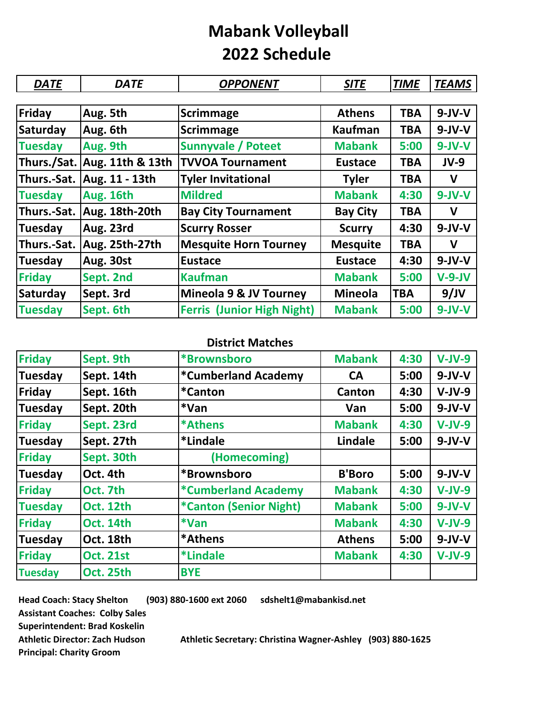## **Mabank Volleyball 2022 Schedule**

| <b>DATE</b>     | <b>DATE</b>      | <b>OPPONENT</b>                   | <b>SITE</b>     | <b>TIME</b> | <b>TEAMS</b> |
|-----------------|------------------|-----------------------------------|-----------------|-------------|--------------|
|                 |                  |                                   |                 |             |              |
| Friday          | Aug. 5th         | <b>Scrimmage</b>                  | <b>Athens</b>   | <b>TBA</b>  | $9-JV-V$     |
| Saturday        | Aug. 6th         | <b>Scrimmage</b>                  | <b>Kaufman</b>  | <b>TBA</b>  | $9-JV-V$     |
| <b>Tuesday</b>  | Aug. 9th         | <b>Sunnyvale / Poteet</b>         | <b>Mabank</b>   | 5:00        | $9 - JV - V$ |
| Thurs./Sat.     | Aug. 11th & 13th | <b>TVVOA Tournament</b>           | <b>Eustace</b>  | TBA         | $JV-9$       |
| Thurs.-Sat.     | Aug. 11 - 13th   | <b>Tyler Invitational</b>         | <b>Tyler</b>    | <b>TBA</b>  | $\mathbf v$  |
| <b>Tuesday</b>  | Aug. 16th        | <b>Mildred</b>                    | <b>Mabank</b>   | 4:30        | $9 - JV - V$ |
| Thurs.-Sat.     | Aug. 18th-20th   | <b>Bay City Tournament</b>        | <b>Bay City</b> | TBA         | v            |
| Tuesday         | Aug. 23rd        | <b>Scurry Rosser</b>              | <b>Scurry</b>   | 4:30        | $9-JV-V$     |
| Thurs.-Sat.     | Aug. 25th-27th   | <b>Mesquite Horn Tourney</b>      | <b>Mesquite</b> | <b>TBA</b>  | $\mathbf v$  |
| <b>Tuesday</b>  | Aug. 30st        | <b>Eustace</b>                    | <b>Eustace</b>  | 4:30        | $9-JV-V$     |
| <b>Friday</b>   | Sept. 2nd        | <b>Kaufman</b>                    | <b>Mabank</b>   | 5:00        | $V-9-JV$     |
| <b>Saturday</b> | Sept. 3rd        | Mineola 9 & JV Tourney            | <b>Mineola</b>  | <b>TBA</b>  | 9/JV         |
| <b>Tuesday</b>  | Sept. 6th        | <b>Ferris (Junior High Night)</b> | <b>Mabank</b>   | 5:00        | $9-JV-V$     |

## **District Matches**

| <b>Friday</b>  | Sept. 9th        | *Brownsboro                       | <b>Mabank</b> | 4:30 | $V-JV-9$ |
|----------------|------------------|-----------------------------------|---------------|------|----------|
| <b>Tuesday</b> | Sept. 14th       | <i><b>*Cumberland Academy</b></i> | CA            | 5:00 | $9-JV-V$ |
| Friday         | Sept. 16th       | <i>*</i> Canton                   | Canton        | 4:30 | $V-JV-9$ |
| <b>Tuesday</b> | Sept. 20th       | *Van                              | Van           | 5:00 | $9-JV-V$ |
| <b>Friday</b>  | Sept. 23rd       | *Athens                           | <b>Mabank</b> | 4:30 | $V-JV-9$ |
| <b>Tuesday</b> | Sept. 27th       | *Lindale                          | Lindale       | 5:00 | $9-JV-V$ |
| <b>Friday</b>  | Sept. 30th       | (Homecoming)                      |               |      |          |
| <b>Tuesday</b> | Oct. 4th         | *Brownsboro                       | <b>B'Boro</b> | 5:00 | $9-JV-V$ |
| <b>Friday</b>  | Oct. 7th         | <i><b>*Cumberland Academy</b></i> | <b>Mabank</b> | 4:30 | $V-JV-9$ |
| <b>Tuesday</b> | <b>Oct. 12th</b> | *Canton (Senior Night)            | <b>Mabank</b> | 5:00 | $9-JV-V$ |
| <b>Friday</b>  | <b>Oct. 14th</b> | *Van                              | <b>Mabank</b> | 4:30 | $V-JV-9$ |
| <b>Tuesday</b> | Oct. 18th        | *Athens                           | <b>Athens</b> | 5:00 | $9-JV-V$ |
| <b>Friday</b>  | <b>Oct. 21st</b> | <i>*</i> Lindale                  | <b>Mabank</b> | 4:30 | $V-JV-9$ |
| <b>Tuesday</b> | Oct. 25th        | <b>BYE</b>                        |               |      |          |

**Head Coach: Stacy Shelton (903) 880-1600 ext 2060 sdshelt1@mabankisd.net Assistant Coaches: Colby Sales Superintendent: Brad Koskelin Principal: Charity Groom**

**Athletic Director: Zach Hudson Athletic Secretary: Christina Wagner-Ashley (903) 880-1625**